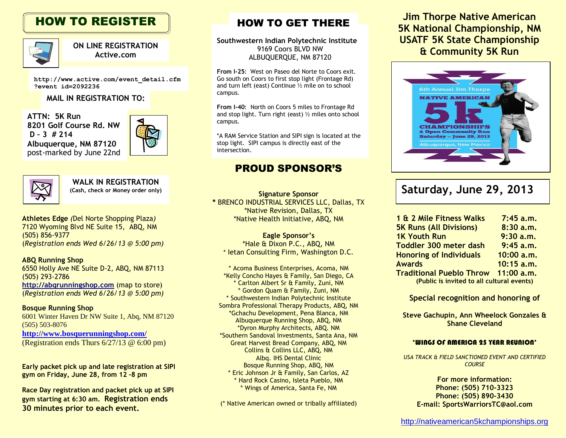# HOW TO REGISTER



**ON LINE REGISTRATION Active.com**

**http://www.active.com/event\_detail.cfm ?event\_id=2092236**

#### **MAIL IN REGISTRATION TO:**

**ATTN: 5K Run 8201 Golf Course Rd. NW D – 3 # 214 Albuquerque, NM 87120** post-marked by June 22nd





**WALK IN REGISTRATION**

**Athletes Edge** *(*Del Norte Shopping Plaza*)* 7120 Wyoming Blvd NE Suite 15, ABQ, NM (505) 856-9377 (*Registration ends Wed 6/26/13 @ 5:00 pm)*

**ABQ Running Shop** 6550 Holly Ave NE Suite D-2, ABQ, NM 87113 (505) 293-2786 **[http://abqrunningshop.com](http://abqrunningshop.com/)** (map to store) (*Registration ends Wed 6/26/13 @ 5:00 pm)*

**Bosque Running Shop** 6001 Winter Haven Dr NW Suite 1, Abq, NM 87120 (505) 503-8076 **<http://www.bosquerunningshop.com/>** (Registration ends Thurs 6/27/13 @ 6:00 pm)

**Early packet pick up and late registration at SIPI gym on Friday, June 28, from 12 -8 pm**

**Race Day registration and packet pick up at SIPI gym starting at 6:30 am. Registration ends 30 minutes prior to each event.**

## HOW TO GET THERE

**Southwestern Indian Polytechnic Institute** 9169 Coors BLVD NW ALBUQUERQUE, NM 87120

**From I-25**: West on Paseo del Norte to Coors exit. Go south on Coors to first stop light (Frontage Rd) and turn left (east) Continue ½ mile on to school campus.

**From I-40**: North on Coors 5 miles to Frontage Rd and stop light. Turn right (east) ½ miles onto school campus.

\*A RAM Service Station and SIPI sign is located at the stop light. SIPI campus is directly east of the intersection.

## PROUD SPONSOR'S

**Signature Sponsor \*** BRENCO INDUSTRIAL SERVICES LLC, Dallas, TX \*Native Revision, Dallas, TX \*Native Health Initiative, ABQ, NM

**Eagle Sponsor's** \*Hale & Dixon P.C., ABQ, NM \* Ietan Consulting Firm, Washington D.C.

\* Acoma Business Enterprises, Acoma, NM \*Kelly Concho Hayes & Family, San Diego, CA \* Carlton Albert Sr & Family, Zuni, NM \* Gordon Quam & Family, Zuni, NM \* Southwestern Indian Polytechnic Institute Sombra Professional Therapy Products, ABQ, NM \*Gchachu Development, Pena Blanca, NM Albuquerque Running Shop, ABQ, NM \*Dyron Murphy Architects, ABQ. NM \*Southern Sandoval Investments, Santa Ana, NM Great Harvest Bread Company, ABQ, NM Collins & Collins LLC, ABQ, NM Albq. IHS Dental Clinic Bosque Running Shop, ABQ, NM \* Eric Johnson Jr & Family, San Carlos, AZ \* Hard Rock Casino, Isleta Pueblo, NM \* Wings of America, Santa Fe, NM

(\* Native American owned or tribally affiliated)

**Jim Thorpe Native American 5K National Championship, NM USATF 5K State Championship & Community 5K Run**



# **(Cash, check or Money order only) Saturday, June 29, 2013**

| 1 & 2 Mile Fitness Walks                   | 7:45 a.m.    |  |
|--------------------------------------------|--------------|--|
| <b>5K Runs (All Divisions)</b>             | 8:30 a.m.    |  |
| <b>1K Youth Run</b>                        | 9:30a.m.     |  |
| <b>Toddler 300 meter dash</b>              | $9:45$ a.m.  |  |
| <b>Honoring of Individuals</b>             | 10:00 a.m.   |  |
| <b>Awards</b>                              | 10:15 a.m.   |  |
| <b>Traditional Pueblo Throw</b>            | $11:00$ a.m. |  |
| (Public is invited to all cultural events) |              |  |

#### **Special recognition and honoring of**

**Steve Gachupin, Ann Wheelock Gonzales & Shane Cleveland**

#### 'WINGS OF AMERICA 25 YEAR REUNION'

*USA TRACK & FIELD SANCTIONED EVENT AND CERTIFIED COURSE*

> **For more information: Phone: (505) 710-3323 Phone: (505) 890-3430 E-mail: [SportsWarriorsTC@aol.com](mailto:SportsWarriorsTC@aol.com)**